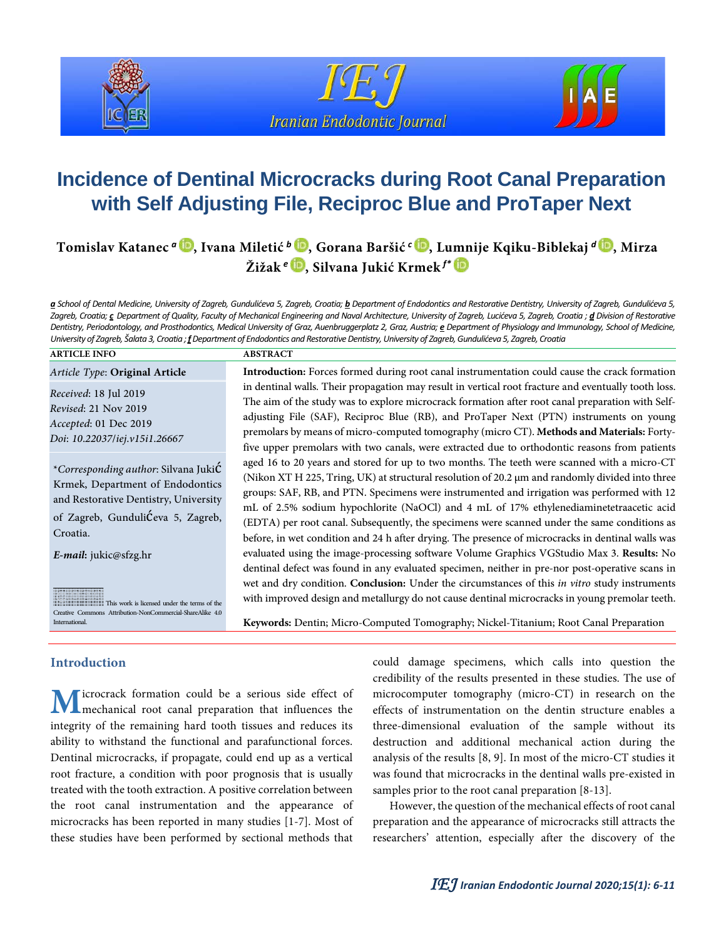





# **Incidence of Dentinal Microcracks during Root Canal Preparation with Self Adjusting File, Reciproc Blue and ProTaper Next**

**Tomislav Katanec** *<sup>a</sup>* **, Ivana Miletić** *<sup>b</sup>* **, Gorana Baršić** *<sup>c</sup>* **[,](https://orcid.org/0000-0003-1864-283X) Lumnije Kqiku-Biblekaj** *<sup>d</sup>* **, Mirza Žižak** *<sup>e</sup>* **, Silvana Jukić Krmek** *f\**

*a School of Dental Medicine, University of Zagreb, Gundulićeva 5, Zagreb, Croatia; b Department of Endodontics and Restorative Dentistry, University of Zagreb, Gundulićeva 5,*  Zagreb, Croatia; c Department of Quality, Faculty of Mechanical Engineering and Naval Architecture, University of Zagreb, Lucićeva 5, Zagreb, Croatia; d Division of Restorative *Dentistry, Periodontology, and Prosthodontics, Medical University of Graz, Auenbruggerplatz 2, Graz, Austria; e Department of Physiology and Immunology, School of Medicine, University of Zagreb, Šalata 3, Croatia ; f Department of Endodontics and Restorative Dentistry, University of Zagreb, Gundulićeva 5, Zagreb, Croatia*

#### **ARTICLE INFO ABSTRACT**

*Received:* 18 Jul 2019 *Revised:* 21 Nov 2019 *Accepted:* 01 Dec 2019 *Doi: 10.22037/iej.v15i1.26667*

*\*Corresponding author:*Silvana Jukić Krmek, Department of Endodontics and Restorative Dentistry, University of Zagreb, Gundulićeva 5, Zagreb, Croatia.

*E-mail:* jukic@sfzg.hr

This work is licensed under the terms of the Creative Commons Attribution-NonCommercial-ShareAlike 4.0 International.

*Article Type:* **Original Article Introduction:**Forces formed during root canal instrumentation could cause the crack formation in dentinal walls. Their propagation may result in vertical root fracture and eventually tooth loss. The aim of the study was to explore microcrack formation after root canal preparation with Self- adjusting File (SAF), Reciproc Blue (RB), and ProTaper Next (PTN) instruments on young premolars by means of micro-computed tomography(micro CT).**Methodsand Materials:** Forty- five upper premolars with two canals, were extracted due to orthodontic reasons from patients aged 16 to 20 years and stored for up to two months. The teeth were scanned with a micro-CT (Nikon XT H 225, Tring, UK) at structural resolution of 20.2 µm and randomly divided into three groups: SAF, RB, and PTN. Specimens were instrumented and irrigation was performed with 12 mL of 2.5% sodium hypochlorite (NaOCl) and 4 mL of 17% ethylenediaminetetraacetic acid (EDTA) per root canal. Subsequently, the specimens were scanned under the same conditions as before, in wet condition and 24 h after drying. The presence of microcracks in dentinal walls was evaluated using the image-processing software Volume Graphics VGStudio Max 3. **Results:** No dentinal defect was found in any evaluated specimen, neither in pre-nor post-operative scans in wet and dry condition. **Conclusion:** Under the circumstances of this *in vitro* study instruments with improved design and metallurgy do not cause dentinal microcracks in young premolar teeth.

**Keywords:** Dentin; Micro-Computed Tomography; Nickel-Titanium; Root Canal Preparation

# **Introduction**

icrocrack formation could be a serious side effect of mechanical root canal preparation that influences the integrity of the remaining hard tooth tissues and reduces its ability to withstand the functional and parafunctional forces. Dentinal microcracks, if propagate, could end up as a vertical root fracture, a condition with poor prognosis that is usually treated with the tooth extraction. A positive correlation between the root canal instrumentation and the appearance of microcracks has been reported in many studies [1-7]. Most of these studies have been performed by sectional methods that **M**

could damage specimens, which calls into question the credibility of the results presented in these studies. The use of microcomputer tomography (micro-CT) in research on the effects of instrumentation on the dentin structure enables a three-dimensional evaluation of the sample without its destruction and additional mechanical action during the analysis of the results [8, 9]. In most of the micro-CT studies it was found that microcracks in the dentinal walls pre-existed in samples prior to the root canal preparation [8-13].

However, the question of the mechanical effects of root canal preparation and the appearance of microcracks still attracts the researchers' attention, especially after the discovery of the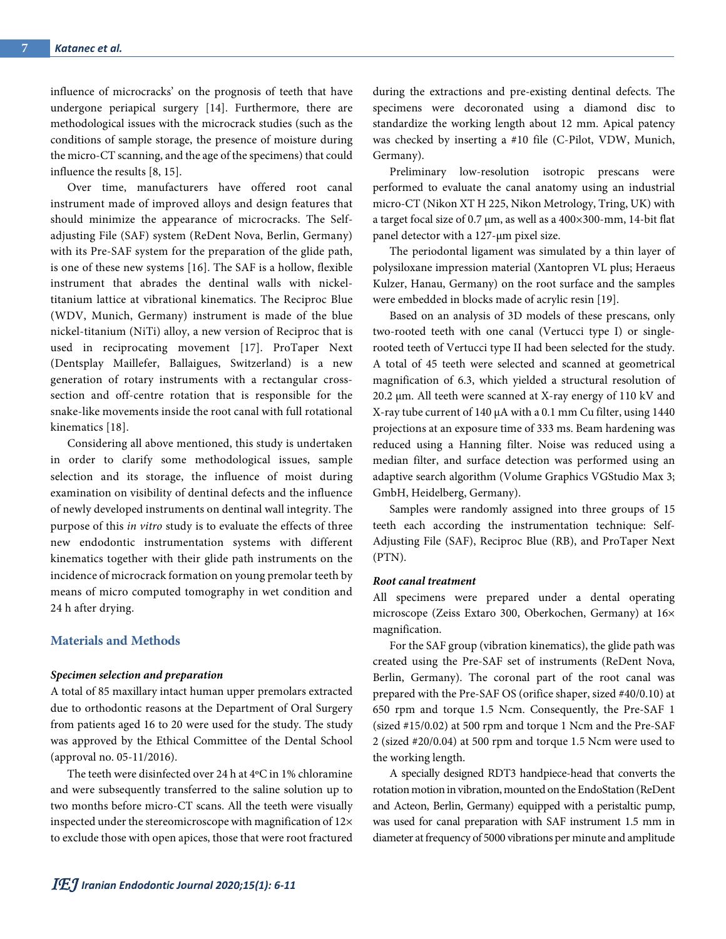influence of microcracks' on the prognosis of teeth that have undergone periapical surgery [14]. Furthermore, there are methodological issues with the microcrack studies (such as the conditions of sample storage, the presence of moisture during the micro-CT scanning, and the age of the specimens) that could influence the results [8, 15].

Over time, manufacturers have offered root canal instrument made of improved alloys and design features that should minimize the appearance of microcracks. The Selfadjusting File (SAF) system (ReDent Nova, Berlin, Germany) with its Pre-SAF system for the preparation of the glide path, is one of these new systems [16]. The SAF is a hollow, flexible instrument that abrades the dentinal walls with nickeltitanium lattice at vibrational kinematics. The Reciproc Blue (WDV, Munich, Germany) instrument is made of the blue nickel-titanium (NiTi) alloy, a new version of Reciproc that is used in reciprocating movement [17]. ProTaper Next (Dentsplay Maillefer, Ballaigues, Switzerland) is a new generation of rotary instruments with a rectangular crosssection and off-centre rotation that is responsible for the snake-like movements inside the root canal with full rotational kinematics [18].

Considering all above mentioned, this study is undertaken in order to clarify some methodological issues, sample selection and its storage, the influence of moist during examination on visibility of dentinal defects and the influence of newly developed instruments on dentinal wall integrity. The purpose of this *in vitro* study is to evaluate the effects of three new endodontic instrumentation systems with different kinematics together with their glide path instruments on the incidence of microcrack formation on young premolar teeth by means of micro computed tomography in wet condition and 24 h after drying.

#### **Materials and Methods**

#### *Specimen selection and preparation*

A total of 85 maxillary intact human upper premolars extracted due to orthodontic reasons at the Department of Oral Surgery from patients aged 16 to 20 were used for the study. The study was approved by the Ethical Committee of the Dental School (approval no. 05-11/2016).

The teeth were disinfected over 24 h at 4ºC in 1% chloramine and were subsequently transferred to the saline solution up to two months before micro-CT scans. All the teeth were visually inspected under the stereomicroscope with magnification of 12× to exclude those with open apices, those that were root fractured

during the extractions and pre-existing dentinal defects. The specimens were decoronated using a diamond disc to standardize the working length about 12 mm. Apical patency was checked by inserting a #10 file (C-Pilot, VDW, Munich, Germany).

Preliminary low-resolution isotropic prescans were performed to evaluate the canal anatomy using an industrial micro-CT (Nikon XT H 225, Nikon Metrology, Tring, UK) with a target focal size of 0.7  $\mu$ m, as well as a 400×300-mm, 14-bit flat panel detector with a 127-µm pixel size.

The periodontal ligament was simulated by a thin layer of polysiloxane impression material (Xantopren VL plus; Heraeus Kulzer, Hanau, Germany) on the root surface and the samples were embedded in blocks made of acrylic resin [19].

Based on an analysis of 3D models of these prescans, only two-rooted teeth with one canal (Vertucci type I) or singlerooted teeth of Vertucci type II had been selected for the study. A total of 45 teeth were selected and scanned at geometrical magnification of 6.3, which yielded a structural resolution of 20.2 µm. All teeth were scanned at X-ray energy of 110 kV and X-ray tube current of 140 μA with a 0.1 mm Cu filter, using 1440 projections at an exposure time of 333 ms. Beam hardening was reduced using a Hanning filter. Noise was reduced using a median filter, and surface detection was performed using an adaptive search algorithm (Volume Graphics VGStudio Max 3; GmbH, Heidelberg, Germany).

Samples were randomly assigned into three groups of 15 teeth each according the instrumentation technique: Self-Adjusting File (SAF), Reciproc Blue (RB), and ProTaper Next (PTN).

#### *Root canal treatment*

All specimens were prepared under a dental operating microscope (Zeiss Extaro 300, Oberkochen, Germany) at 16× magnification.

For the SAF group (vibration kinematics), the glide path was created using the Pre-SAF set of instruments (ReDent Nova, Berlin, Germany). The coronal part of the root canal was prepared with the Pre-SAF OS (orifice shaper, sized #40/0.10) at 650 rpm and torque 1.5 Ncm. Consequently, the Pre-SAF 1 (sized #15/0.02) at 500 rpm and torque 1 Ncm and the Pre-SAF 2 (sized #20/0.04) at 500 rpm and torque 1.5 Ncm were used to the working length.

A specially designed RDT3 handpiece-head that converts the rotation motion in vibration, mounted on the EndoStation (ReDent and Acteon, Berlin, Germany) equipped with a peristaltic pump, was used for canal preparation with SAF instrument 1.5 mm in diameter at frequency of 5000 vibrations per minute and amplitude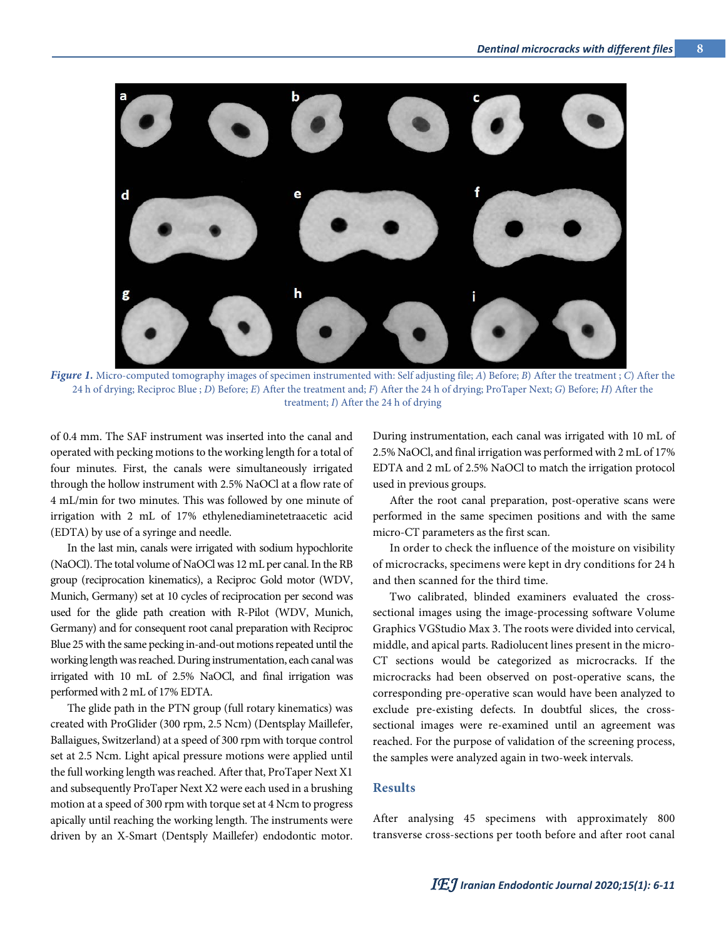

*Figure 1.* Micro-computed tomography images of specimen instrumented with: Self adjusting file; *A*) Before; *B*) After the treatment ; *C*) After the 24 h of drying; Reciproc Blue ; *D*) Before; *E*) After the treatment and; *F*) After the 24 h of drying; ProTaper Next; *G*) Before; *H*) After the treatment; *I*) After the 24 h of drying

of 0.4 mm. The SAF instrument was inserted into the canal and operated with pecking motions to the working length for a total of four minutes. First, the canals were simultaneously irrigated through the hollow instrument with 2.5% NaOCl at a flow rate of 4 mL/min for two minutes. This was followed by one minute of irrigation with 2 mL of 17% ethylenediaminetetraacetic acid (EDTA) by use of a syringe and needle.

In the last min, canals were irrigated with sodium hypochlorite (NaOCl). The total volume of NaOClwas 12 mL per canal. In the RB group (reciprocation kinematics), a Reciproc Gold motor (WDV, Munich, Germany) set at 10 cycles of reciprocation per second was used for the glide path creation with R-Pilot (WDV, Munich, Germany) and for consequent root canal preparation with Reciproc Blue 25 with the same pecking in-and-out motions repeated until the working length was reached. During instrumentation, each canal was irrigated with 10 mL of 2.5% NaOCl, and final irrigation was performed with 2 mL of 17% EDTA.

The glide path in the PTN group (full rotary kinematics) was created with ProGlider (300 rpm, 2.5 Ncm) (Dentsplay Maillefer, Ballaigues, Switzerland) at a speed of 300 rpm with torque control set at 2.5 Ncm. Light apical pressure motions were applied until the full working length was reached. After that, ProTaper Next X1 and subsequently ProTaper Next X2 were each used in a brushing motion at a speed of 300 rpm with torque set at 4 Ncm to progress apically until reaching the working length. The instruments were driven by an X-Smart (Dentsply Maillefer) endodontic motor.

During instrumentation, each canal was irrigated with 10 mL of 2.5% NaOCl, and final irrigation was performed with 2 mL of 17% EDTA and 2 mL of 2.5% NaOCl to match the irrigation protocol used in previous groups.

After the root canal preparation, post-operative scans were performed in the same specimen positions and with the same micro-CT parameters as the first scan.

In order to check the influence of the moisture on visibility of microcracks, specimens were kept in dry conditions for 24 h and then scanned for the third time.

Two calibrated, blinded examiners evaluated the crosssectional images using the image-processing software Volume Graphics VGStudio Max 3. The roots were divided into cervical, middle, and apical parts. Radiolucent lines present in the micro-CT sections would be categorized as microcracks. If the microcracks had been observed on post-operative scans, the corresponding pre-operative scan would have been analyzed to exclude pre-existing defects. In doubtful slices, the crosssectional images were re-examined until an agreement was reached. For the purpose of validation of the screening process, the samples were analyzed again in two-week intervals.

#### **Results**

After analysing 45 specimens with approximately 800 transverse cross-sections per tooth before and after root canal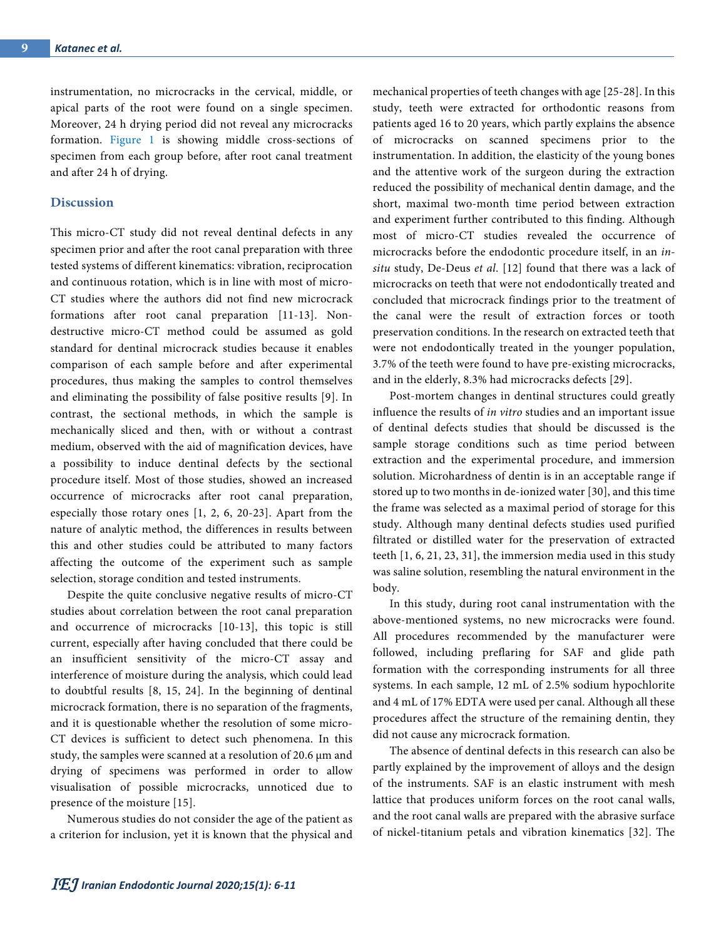instrumentation, no microcracks in the cervical, middle, or apical parts of the root were found on a single specimen. Moreover, 24 h drying period did not reveal any microcracks formation. Figure 1 is showing middle cross-sections of specimen from each group before, after root canal treatment and after 24 h of drying.

# **Discussion**

This micro-CT study did not reveal dentinal defects in any specimen prior and after the root canal preparation with three tested systems of different kinematics: vibration, reciprocation and continuous rotation, which is in line with most of micro-CT studies where the authors did not find new microcrack formations after root canal preparation [11-13]. Nondestructive micro-CT method could be assumed as gold standard for dentinal microcrack studies because it enables comparison of each sample before and after experimental procedures, thus making the samples to control themselves and eliminating the possibility of false positive results [9]. In contrast, the sectional methods, in which the sample is mechanically sliced and then, with or without a contrast medium, observed with the aid of magnification devices, have a possibility to induce dentinal defects by the sectional procedure itself. Most of those studies, showed an increased occurrence of microcracks after root canal preparation, especially those rotary ones [1, 2, 6, 20-23]. Apart from the nature of analytic method, the differences in results between this and other studies could be attributed to many factors affecting the outcome of the experiment such as sample selection, storage condition and tested instruments.

Despite the quite conclusive negative results of micro-CT studies about correlation between the root canal preparation and occurrence of microcracks [10-13], this topic is still current, especially after having concluded that there could be an insufficient sensitivity of the micro-CT assay and interference of moisture during the analysis, which could lead to doubtful results [8, 15, 24]. In the beginning of dentinal microcrack formation, there is no separation of the fragments, and it is questionable whether the resolution of some micro-CT devices is sufficient to detect such phenomena. In this study, the samples were scanned at a resolution of 20.6 μm and drying of specimens was performed in order to allow visualisation of possible microcracks, unnoticed due to presence of the moisture [15].

Numerous studies do not consider the age of the patient as a criterion for inclusion, yet it is known that the physical and mechanical properties of teeth changes with age [25-28]. In this study, teeth were extracted for orthodontic reasons from patients aged 16 to 20 years, which partly explains the absence of microcracks on scanned specimens prior to the instrumentation. In addition, the elasticity of the young bones and the attentive work of the surgeon during the extraction reduced the possibility of mechanical dentin damage, and the short, maximal two-month time period between extraction and experiment further contributed to this finding. Although most of micro-CT studies revealed the occurrence of microcracks before the endodontic procedure itself, in an *insitu* study, De-Deus *et al*. [12] found that there was a lack of microcracks on teeth that were not endodontically treated and concluded that microcrack findings prior to the treatment of the canal were the result of extraction forces or tooth preservation conditions. In the research on extracted teeth that were not endodontically treated in the younger population, 3.7% of the teeth were found to have pre-existing microcracks, and in the elderly, 8.3% had microcracks defects [29].

Post-mortem changes in dentinal structures could greatly influence the results of *in vitro* studies and an important issue of dentinal defects studies that should be discussed is the sample storage conditions such as time period between extraction and the experimental procedure, and immersion solution. Microhardness of dentin is in an acceptable range if stored up to two months in de-ionized water [30], and this time the frame was selected as a maximal period of storage for this study. Although many dentinal defects studies used purified filtrated or distilled water for the preservation of extracted teeth [1, 6, 21, 23, 31], the immersion media used in this study was saline solution, resembling the natural environment in the body.

In this study, during root canal instrumentation with the above-mentioned systems, no new microcracks were found. All procedures recommended by the manufacturer were followed, including preflaring for SAF and glide path formation with the corresponding instruments for all three systems. In each sample, 12 mL of 2.5% sodium hypochlorite and 4 mL of 17% EDTA were used per canal. Although all these procedures affect the structure of the remaining dentin, they did not cause any microcrack formation.

The absence of dentinal defects in this research can also be partly explained by the improvement of alloys and the design of the instruments. SAF is an elastic instrument with mesh lattice that produces uniform forces on the root canal walls, and the root canal walls are prepared with the abrasive surface of nickel-titanium petals and vibration kinematics [32]. The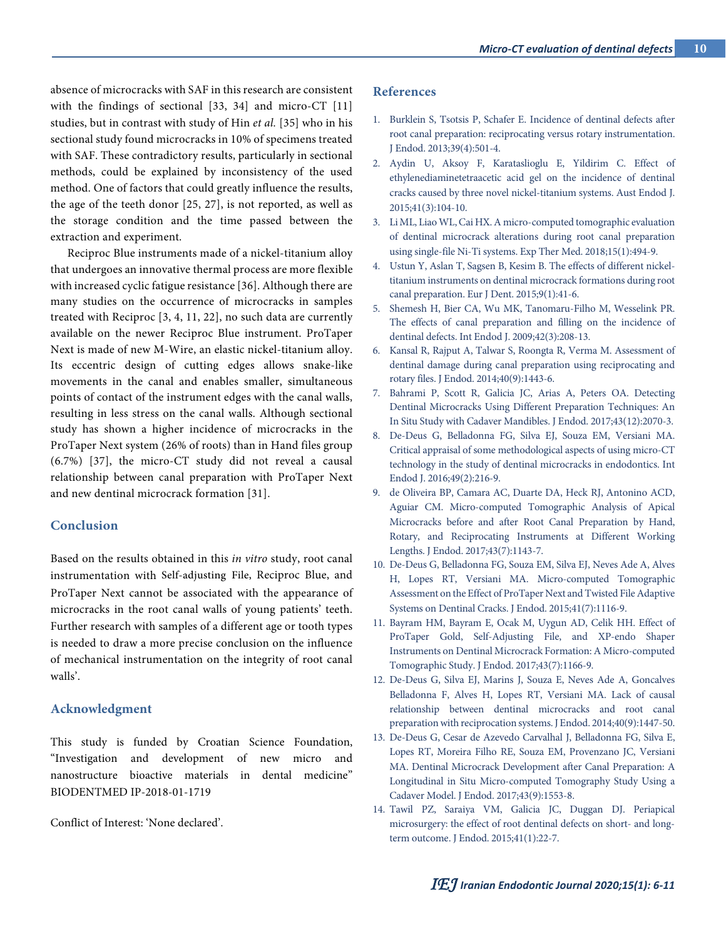absence of microcracks with SAF in this research are consistent with the findings of sectional [33, 34] and micro-CT [11] studies, but in contrast with study of Hin *et al.* [35] who in his sectional study found microcracks in 10% of specimens treated with SAF. These contradictory results, particularly in sectional methods, could be explained by inconsistency of the used method. One of factors that could greatly influence the results, the age of the teeth donor [25, 27], is not reported, as well as the storage condition and the time passed between the extraction and experiment.

Reciproc Blue instruments made of a nickel-titanium alloy that undergoes an innovative thermal process are more flexible with increased cyclic fatigue resistance [36]. Although there are many studies on the occurrence of microcracks in samples treated with Reciproc [3, 4, 11, 22], no such data are currently available on the newer Reciproc Blue instrument. ProTaper Next is made of new M-Wire, an elastic nickel-titanium alloy. Its eccentric design of cutting edges allows snake-like movements in the canal and enables smaller, simultaneous points of contact of the instrument edges with the canal walls, resulting in less stress on the canal walls. Although sectional study has shown a higher incidence of microcracks in the ProTaper Next system (26% of roots) than in Hand files group (6.7%) [37], the micro-CT study did not reveal a causal relationship between canal preparation with ProTaper Next and new dentinal microcrack formation [31].

#### **Conclusion**

Based on the results obtained in this *in vitro* study, root canal instrumentation with Self-adjusting File, Reciproc Blue, and ProTaper Next cannot be associated with the appearance of microcracks in the root canal walls of young patients' teeth. Further research with samples of a different age or tooth types is needed to draw a more precise conclusion on the influence of mechanical instrumentation on the integrity of root canal walls'.

# **Acknowledgment**

This study is funded by Croatian Science Foundation, "Investigation and development of new micro and nanostructure bioactive materials in dental medicine" BIODENTMED IP-2018-01-1719

Conflict of Interest: 'None declared'.

### **References**

- 1. Burklein S, Tsotsis P, Schafer E. Incidence of dentinal defects after root canal preparation: reciprocating versus rotary instrumentation. J Endod. 2013;39(4):501-4.
- 2. Aydin U, Aksoy F, Karataslioglu E, Yildirim C. Effect of ethylenediaminetetraacetic acid gel on the incidence of dentinal cracks caused by three novel nickel-titanium systems. Aust Endod J. 2015;41(3):104-10.
- 3. Li ML, Liao WL, Cai HX. A micro-computed tomographic evaluation of dentinal microcrack alterations during root canal preparation using single-file Ni-Ti systems. Exp Ther Med. 2018;15(1):494-9.
- 4. Ustun Y, Aslan T, Sagsen B, Kesim B. The effects of different nickeltitanium instruments on dentinal microcrack formations during root canal preparation. Eur J Dent. 2015;9(1):41-6.
- 5. Shemesh H, Bier CA, Wu MK, Tanomaru-Filho M, Wesselink PR. The effects of canal preparation and filling on the incidence of dentinal defects. Int Endod J. 2009;42(3):208-13.
- 6. Kansal R, Rajput A, Talwar S, Roongta R, Verma M. Assessment of dentinal damage during canal preparation using reciprocating and rotary files. J Endod. 2014;40(9):1443-6.
- 7. Bahrami P, Scott R, Galicia JC, Arias A, Peters OA. Detecting Dentinal Microcracks Using Different Preparation Techniques: An In Situ Study with Cadaver Mandibles. J Endod. 2017;43(12):2070-3.
- 8. De-Deus G, Belladonna FG, Silva EJ, Souza EM, Versiani MA. Critical appraisal of some methodological aspects of using micro-CT technology in the study of dentinal microcracks in endodontics. Int Endod J. 2016;49(2):216-9.
- 9. de Oliveira BP, Camara AC, Duarte DA, Heck RJ, Antonino ACD, Aguiar CM. Micro-computed Tomographic Analysis of Apical Microcracks before and after Root Canal Preparation by Hand, Rotary, and Reciprocating Instruments at Different Working Lengths. J Endod. 2017;43(7):1143-7.
- 10. De-Deus G, Belladonna FG, Souza EM, Silva EJ, Neves Ade A, Alves H, Lopes RT, Versiani MA. Micro-computed Tomographic Assessment on the Effect of ProTaper Next and Twisted File Adaptive Systems on Dentinal Cracks. J Endod. 2015;41(7):1116-9.
- 11. Bayram HM, Bayram E, Ocak M, Uygun AD, Celik HH. Effect of ProTaper Gold, Self-Adjusting File, and XP-endo Shaper Instruments on Dentinal Microcrack Formation: A Micro-computed Tomographic Study. J Endod. 2017;43(7):1166-9.
- 12. De-Deus G, Silva EJ, Marins J, Souza E, Neves Ade A, Goncalves Belladonna F, Alves H, Lopes RT, Versiani MA. Lack of causal relationship between dentinal microcracks and root canal preparation with reciprocation systems. J Endod. 2014;40(9):1447-50.
- 13. De-Deus G, Cesar de Azevedo Carvalhal J, Belladonna FG, Silva E, Lopes RT, Moreira Filho RE, Souza EM, Provenzano JC, Versiani MA. Dentinal Microcrack Development after Canal Preparation: A Longitudinal in Situ Micro-computed Tomography Study Using a Cadaver Model. J Endod. 2017;43(9):1553-8.
- 14. Tawil PZ, Saraiya VM, Galicia JC, Duggan DJ. Periapical microsurgery: the effect of root dentinal defects on short- and longterm outcome. J Endod. 2015;41(1):22-7.